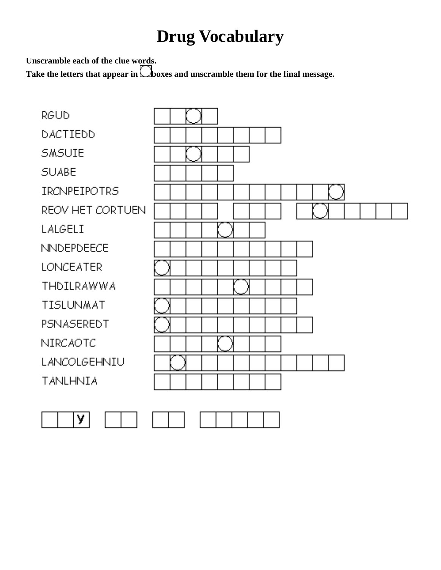## **Drug Vocabulary**

**Unscramble each of the clue words.**

Take the letters that appear in **C**boxes and unscramble them for the final message.